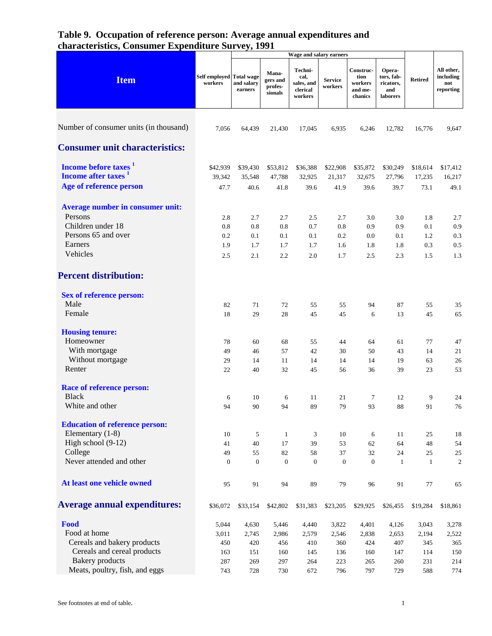|                                                          |                                     |                       | Wage and salary earners                 |                                                      |                           |                                                    |                                                      |                |                                             |
|----------------------------------------------------------|-------------------------------------|-----------------------|-----------------------------------------|------------------------------------------------------|---------------------------|----------------------------------------------------|------------------------------------------------------|----------------|---------------------------------------------|
| <b>Item</b>                                              | Self employed Total wage<br>workers | and salary<br>earners | Mana-<br>gers and<br>profes-<br>sionals | Techni-<br>cal,<br>sales, and<br>clerical<br>workers | <b>Service</b><br>workers | Construc-<br>tion<br>workers<br>and me-<br>chanics | Opera-<br>tors, fab-<br>ricators,<br>and<br>laborers | <b>Retired</b> | All other,<br>including<br>not<br>reporting |
| Number of consumer units (in thousand)                   | 7,056                               | 64,439                | 21,430                                  | 17,045                                               | 6,935                     | 6,246                                              | 12,782                                               | 16,776         | 9,647                                       |
| <b>Consumer unit characteristics:</b>                    |                                     |                       |                                         |                                                      |                           |                                                    |                                                      |                |                                             |
| Income before taxes <sup>1</sup>                         | \$42,939                            | \$39,430              | \$53,812                                | \$36,388                                             | \$22,908                  | \$35,872                                           | \$30,249                                             | \$18,614       | \$17,412                                    |
| Income after taxes <sup>1</sup>                          | 39,342                              | 35,548                | 47,788                                  | 32,925                                               | 21,317                    | 32,675                                             | 27,796                                               | 17,235         | 16,217                                      |
| Age of reference person                                  | 47.7                                | 40.6                  | 41.8                                    | 39.6                                                 | 41.9                      | 39.6                                               | 39.7                                                 | 73.1           | 49.1                                        |
| <b>Average number in consumer unit:</b>                  |                                     |                       |                                         |                                                      |                           |                                                    |                                                      |                |                                             |
| Persons                                                  | 2.8                                 | 2.7                   | 2.7                                     | 2.5                                                  | 2.7                       | 3.0                                                | 3.0                                                  | 1.8            | 2.7                                         |
| Children under 18                                        | 0.8                                 | 0.8                   | 0.8                                     | 0.7                                                  | 0.8                       | 0.9                                                | 0.9                                                  | 0.1            | 0.9                                         |
| Persons 65 and over<br>Earners                           | 0.2                                 | 0.1                   | 0.1                                     | 0.1                                                  | 0.2                       | 0.0                                                | 0.1                                                  | 1.2            | 0.3                                         |
| Vehicles                                                 | 1.9<br>2.5                          | 1.7<br>2.1            | 1.7<br>2.2                              | 1.7<br>2.0                                           | 1.6<br>1.7                | 1.8<br>2.5                                         | 1.8<br>2.3                                           | 0.3<br>1.5     | 0.5<br>1.3                                  |
|                                                          |                                     |                       |                                         |                                                      |                           |                                                    |                                                      |                |                                             |
| <b>Percent distribution:</b>                             |                                     |                       |                                         |                                                      |                           |                                                    |                                                      |                |                                             |
| <b>Sex of reference person:</b>                          |                                     |                       |                                         |                                                      |                           |                                                    |                                                      |                |                                             |
| Male                                                     | 82                                  | 71                    | 72                                      | 55                                                   | 55                        | 94                                                 | 87                                                   | 55             | 35                                          |
| Female                                                   | 18                                  | 29                    | 28                                      | 45                                                   | 45                        | 6                                                  | 13                                                   | 45             | 65                                          |
| <b>Housing tenure:</b>                                   |                                     |                       |                                         |                                                      |                           |                                                    |                                                      |                |                                             |
| Homeowner                                                | 78                                  | 60                    | 68                                      | 55                                                   | 44                        | 64                                                 | 61                                                   | 77             | 47                                          |
| With mortgage                                            | 49                                  | 46                    | 57                                      | 42                                                   | 30                        | 50                                                 | 43                                                   | 14             | 21                                          |
| Without mortgage                                         | 29                                  | 14                    | 11                                      | 14                                                   | 14                        | 14                                                 | 19                                                   | 63             | 26                                          |
| Renter                                                   | 22                                  | 40                    | 32                                      | 45                                                   | 56                        | 36                                                 | 39                                                   | 23             | 53                                          |
| <b>Race of reference person:</b>                         |                                     |                       |                                         |                                                      |                           |                                                    |                                                      |                |                                             |
| <b>Black</b>                                             | 6                                   | 10                    | 6                                       | 11                                                   | 21                        | 7                                                  | 12                                                   | 9              | 24                                          |
| White and other                                          | 94                                  | 90                    | 94                                      | 89                                                   | 79                        | 93                                                 | 88                                                   | 91             | 76                                          |
| <b>Education of reference person:</b>                    |                                     |                       |                                         |                                                      |                           |                                                    |                                                      |                |                                             |
| Elementary $(1-8)$                                       | 10                                  | 5                     | $\mathbf{1}$                            | 3                                                    | 10                        | 6                                                  | 11                                                   | 25             | 18                                          |
| High school (9-12)                                       | 41                                  | 40                    | 17                                      | 39                                                   | 53                        | 62                                                 | 64                                                   | 48             | 54                                          |
| College                                                  | 49                                  | 55                    | 82                                      | 58                                                   | 37                        | 32                                                 | 24                                                   | 25             | 25                                          |
| Never attended and other                                 | $\theta$                            | $\boldsymbol{0}$      | $\boldsymbol{0}$                        | $\boldsymbol{0}$                                     | $\boldsymbol{0}$          | $\boldsymbol{0}$                                   | -1                                                   | $\mathbf{1}$   | $\overline{2}$                              |
| At least one vehicle owned                               | 95                                  | 91                    | 94                                      | 89                                                   | 79                        | 96                                                 | 91                                                   | 77             | 65                                          |
| <b>Average annual expenditures:</b>                      | \$36,072                            | \$33,154              | \$42,802                                | \$31,383                                             | \$23,205                  | \$29,925                                           | \$26,455                                             | \$19,284       | \$18,861                                    |
| Food                                                     | 5,044                               | 4,630                 | 5,446                                   | 4,440                                                | 3,822                     | 4,401                                              | 4,126                                                | 3,043          | 3,278                                       |
| Food at home                                             | 3,011                               | 2,745                 | 2,986                                   | 2,579                                                | 2,546                     | 2,838                                              | 2,653                                                | 2,194          | 2,522                                       |
| Cereals and bakery products                              | 450                                 | 420                   | 456                                     | 410                                                  | 360                       | 424                                                | 407                                                  | 345            | 365                                         |
| Cereals and cereal products                              | 163                                 | 151                   | 160                                     | 145                                                  | 136                       | 160                                                | 147                                                  | 114            | 150                                         |
| <b>Bakery</b> products<br>Meats, poultry, fish, and eggs | 287<br>743                          | 269<br>728            | 297<br>730                              | 264<br>672                                           | 223<br>796                | 265<br>797                                         | 260<br>729                                           | 231<br>588     | 214<br>774                                  |
|                                                          |                                     |                       |                                         |                                                      |                           |                                                    |                                                      |                |                                             |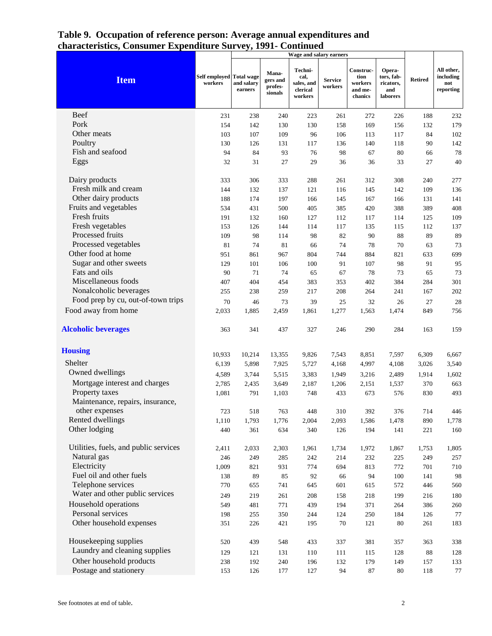|                                       |                                     |                       |                                         | Wage and salary earners                              |                           |                                                    |                                                      |                |                                             |
|---------------------------------------|-------------------------------------|-----------------------|-----------------------------------------|------------------------------------------------------|---------------------------|----------------------------------------------------|------------------------------------------------------|----------------|---------------------------------------------|
| <b>Item</b>                           | Self employed Total wage<br>workers | and salary<br>earners | Mana-<br>gers and<br>profes-<br>sionals | Techni-<br>cal,<br>sales, and<br>clerical<br>workers | <b>Service</b><br>workers | Construc-<br>tion<br>workers<br>and me-<br>chanics | Opera-<br>tors, fab-<br>ricators,<br>and<br>laborers | <b>Retired</b> | All other,<br>including<br>not<br>reporting |
| Beef                                  | 231                                 | 238                   | 240                                     | 223                                                  | 261                       | 272                                                | 226                                                  | 188            | 232                                         |
| Pork                                  | 154                                 | 142                   | 130                                     | 130                                                  | 158                       | 169                                                | 156                                                  | 132            | 179                                         |
| Other meats                           | 103                                 | 107                   | 109                                     | 96                                                   | 106                       | 113                                                | 117                                                  | 84             | 102                                         |
| Poultry                               | 130                                 | 126                   | 131                                     | 117                                                  | 136                       | 140                                                | 118                                                  | 90             | 142                                         |
| Fish and seafood                      | 94                                  | 84                    | 93                                      | 76                                                   | 98                        | 67                                                 | 80                                                   | 66             | 78                                          |
| Eggs                                  | 32                                  | 31                    | 27                                      | 29                                                   | 36                        | 36                                                 | 33                                                   | 27             | 40                                          |
| Dairy products                        | 333                                 | 306                   | 333                                     | 288                                                  | 261                       | 312                                                | 308                                                  | 240            | 277                                         |
| Fresh milk and cream                  | 144                                 | 132                   | 137                                     | 121                                                  | 116                       | 145                                                | 142                                                  | 109            | 136                                         |
| Other dairy products                  | 188                                 | 174                   | 197                                     | 166                                                  | 145                       | 167                                                | 166                                                  | 131            | 141                                         |
| Fruits and vegetables                 | 534                                 | 431                   | 500                                     | 405                                                  | 385                       | 420                                                | 388                                                  | 389            | 408                                         |
| Fresh fruits                          | 191                                 | 132                   | 160                                     | 127                                                  | 112                       | 117                                                | 114                                                  | 125            | 109                                         |
| Fresh vegetables                      | 153                                 | 126                   | 144                                     | 114                                                  | 117                       | 135                                                | 115                                                  | 112            | 137                                         |
| Processed fruits                      | 109                                 | 98                    | 114                                     | 98                                                   | 82                        | 90                                                 | 88                                                   | 89             | 89                                          |
| Processed vegetables                  | 81                                  | 74                    | 81                                      | 66                                                   | 74                        | 78                                                 | 70                                                   | 63             | 73                                          |
| Other food at home                    | 951                                 | 861                   | 967                                     | 804                                                  | 744                       | 884                                                | 821                                                  | 633            | 699                                         |
| Sugar and other sweets                | 129                                 | 101                   | 106                                     | 100                                                  | 91                        | 107                                                | 98                                                   | 91             | 95                                          |
| Fats and oils                         | 90                                  | 71                    | 74                                      | 65                                                   | 67                        | 78                                                 | 73                                                   | 65             | 73                                          |
| Miscellaneous foods                   | 407                                 | 404                   | 454                                     | 383                                                  | 353                       | 402                                                | 384                                                  | 284            | 301                                         |
| Nonalcoholic beverages                | 255                                 | 238                   | 259                                     | 217                                                  | 208                       | 264                                                | 241                                                  | 167            | 202                                         |
| Food prep by cu, out-of-town trips    | 70                                  | 46                    | 73                                      | 39                                                   | 25                        | 32                                                 | 26                                                   | 27             | 28                                          |
| Food away from home                   | 2,033                               | 1,885                 | 2,459                                   | 1,861                                                | 1,277                     | 1,563                                              | 1,474                                                | 849            | 756                                         |
| <b>Alcoholic beverages</b>            | 363                                 | 341                   | 437                                     | 327                                                  | 246                       | 290                                                | 284                                                  | 163            | 159                                         |
| <b>Housing</b>                        | 10,933                              | 10,214                | 13,355                                  | 9,826                                                | 7,543                     | 8,851                                              | 7,597                                                | 6,309          | 6,667                                       |
| Shelter                               | 6,139                               | 5,898                 | 7,925                                   | 5,727                                                | 4,168                     | 4,997                                              | 4,108                                                | 3,026          | 3,540                                       |
| Owned dwellings                       | 4,589                               | 3,744                 | 5,515                                   | 3,383                                                | 1,949                     | 3,216                                              | 2,489                                                | 1,914          | 1,602                                       |
| Mortgage interest and charges         | 2,785                               | 2,435                 | 3,649                                   | 2,187                                                | 1,206                     | 2,151                                              | 1,537                                                | 370            | 663                                         |
| Property taxes                        | 1,081                               | 791                   | 1,103                                   | 748                                                  | 433                       | 673                                                | 576                                                  | 830            | 493                                         |
| Maintenance, repairs, insurance,      |                                     |                       |                                         |                                                      |                           |                                                    |                                                      |                |                                             |
| other expenses                        | 723                                 | 518                   | 763                                     | 448                                                  | 310                       | 392                                                | 376                                                  | 714            | 446                                         |
| Rented dwellings                      | 1,110                               | 1,793                 | 1,776                                   | 2,004                                                | 2,093                     | 1,586                                              | 1,478                                                | 890            | 1,778                                       |
| Other lodging                         | 440                                 | 361                   | 634                                     | 340                                                  | 126                       | 194                                                | 141                                                  | 221            | 160                                         |
| Utilities, fuels, and public services | 2,411                               | 2,033                 | 2,303                                   | 1,961                                                | 1,734                     | 1,972                                              | 1,867                                                | 1,753          | 1,805                                       |
| Natural gas                           | 246                                 | 249                   | 285                                     | 242                                                  | 214                       | 232                                                | 225                                                  | 249            | 257                                         |
| Electricity                           | 1,009                               | 821                   | 931                                     | 774                                                  | 694                       | 813                                                | 772                                                  | 701            | 710                                         |
| Fuel oil and other fuels              | 138                                 | 89                    | 85                                      | 92                                                   | 66                        | 94                                                 | $100\,$                                              | 141            | 98                                          |
| Telephone services                    | 770                                 | 655                   | 741                                     | 645                                                  | 601                       | 615                                                | 572                                                  | 446            | 560                                         |
| Water and other public services       | 249                                 | 219                   | 261                                     | 208                                                  | 158                       | 218                                                | 199                                                  | 216            | 180                                         |
| Household operations                  | 549                                 | 481                   | 771                                     | 439                                                  | 194                       | 371                                                | 264                                                  | 386            | 260                                         |
| Personal services                     | 198                                 | 255                   | 350                                     | 244                                                  | 124                       | 250                                                | 184                                                  | 126            | $77\,$                                      |
| Other household expenses              | 351                                 | 226                   | 421                                     | 195                                                  | 70                        | 121                                                | 80                                                   | 261            | 183                                         |
| Housekeeping supplies                 | 520                                 | 439                   | 548                                     | 433                                                  | 337                       | 381                                                | 357                                                  | 363            | 338                                         |
| Laundry and cleaning supplies         | 129                                 | 121                   | 131                                     | 110                                                  | 111                       | 115                                                | 128                                                  | 88             | 128                                         |
| Other household products              | 238                                 | 192                   | 240                                     | 196                                                  | 132                       | 179                                                | 149                                                  | 157            | 133                                         |
| Postage and stationery                | 153                                 | 126                   | 177                                     | 127                                                  | 94                        | 87                                                 | 80                                                   | 118            | $77 \,$                                     |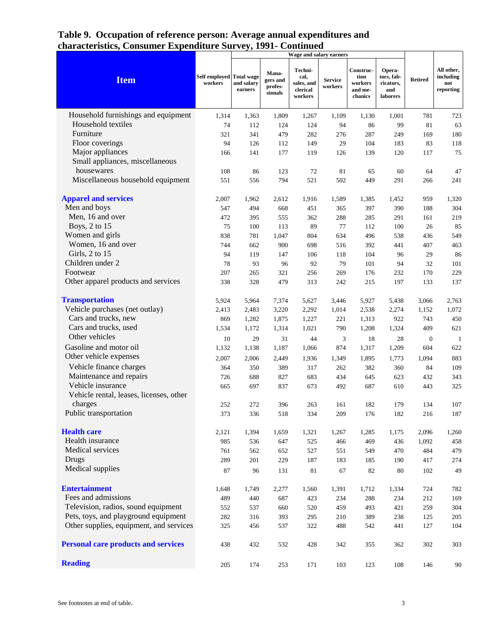|                                            |                                     |                       | Wage and salary earners                 |                                                      |                           |                                                    |                                                      |                |                                             |
|--------------------------------------------|-------------------------------------|-----------------------|-----------------------------------------|------------------------------------------------------|---------------------------|----------------------------------------------------|------------------------------------------------------|----------------|---------------------------------------------|
| <b>Item</b>                                | Self employed Total wage<br>workers | and salary<br>earners | Mana-<br>gers and<br>profes-<br>sionals | Techni-<br>cal,<br>sales, and<br>clerical<br>workers | <b>Service</b><br>workers | Construc-<br>tion<br>workers<br>and me-<br>chanics | Opera-<br>tors, fab-<br>ricators,<br>and<br>laborers | <b>Retired</b> | All other,<br>including<br>not<br>reporting |
| Household furnishings and equipment        | 1,314                               | 1,363                 | 1,809                                   | 1,267                                                | 1,109                     | 1,130                                              | 1,001                                                | 781            | 723                                         |
| Household textiles                         | 74                                  | 112                   | 124                                     | 124                                                  | 94                        | 86                                                 | 99                                                   | 81             | 63                                          |
| Furniture                                  | 321                                 | 341                   | 479                                     | 282                                                  | 276                       | 287                                                | 249                                                  | 169            | 180                                         |
| Floor coverings                            | 94                                  | 126                   | 112                                     | 149                                                  | 29                        | 104                                                | 183                                                  | 83             | 118                                         |
| Major appliances                           | 166                                 | 141                   | 177                                     | 119                                                  | 126                       | 139                                                | 120                                                  | 117            | 75                                          |
| Small appliances, miscellaneous            |                                     |                       |                                         |                                                      |                           |                                                    |                                                      |                |                                             |
| housewares                                 | 108                                 | 86                    | 123                                     | 72                                                   | 81                        | 65                                                 | 60                                                   | 64             | 47                                          |
| Miscellaneous household equipment          | 551                                 | 556                   | 794                                     | 521                                                  | 502                       | 449                                                | 291                                                  | 266            | 241                                         |
|                                            |                                     |                       |                                         |                                                      |                           |                                                    |                                                      |                |                                             |
| <b>Apparel and services</b>                | 2,007                               | 1,962                 | 2,612                                   | 1,916                                                | 1,589                     | 1,385                                              | 1,452                                                | 959            | 1,320                                       |
| Men and boys                               | 547                                 | 494                   | 668                                     | 451                                                  | 365                       | 397                                                | 390                                                  | 188            | 304                                         |
| Men, 16 and over                           | 472                                 | 395                   | 555                                     | 362                                                  | 288                       | 285                                                | 291                                                  | 161            | 219                                         |
| Boys, 2 to 15                              | 75                                  | 100                   | 113                                     | 89                                                   | 77                        | 112                                                | 100                                                  | 26             | 85                                          |
| Women and girls                            | 838                                 | 781                   | 1,047                                   | 804                                                  | 634                       | 496                                                | 538                                                  | 436            | 549                                         |
| Women, 16 and over                         | 744                                 | 662                   | 900                                     | 698                                                  | 516                       | 392                                                | 441                                                  | 407            | 463                                         |
| Girls, 2 to 15                             | 94                                  | 119                   | 147                                     | 106                                                  | 118                       | 104                                                | 96                                                   | 29             | 86                                          |
| Children under 2                           | 78                                  | 93                    | 96                                      | 92                                                   | 79                        | 101                                                | 94                                                   | 32             | 101                                         |
| Footwear                                   | 207                                 | 265                   | 321                                     | 256                                                  | 269                       | 176                                                | 232                                                  | 170            | 229                                         |
| Other apparel products and services        | 338                                 | 328                   | 479                                     | 313                                                  | 242                       | 215                                                | 197                                                  | 133            | 137                                         |
| <b>Transportation</b>                      | 5,924                               | 5,964                 | 7,374                                   | 5,627                                                | 3,446                     | 5,927                                              | 5,438                                                | 3,066          | 2,763                                       |
| Vehicle purchases (net outlay)             | 2,413                               | 2,483                 | 3,220                                   | 2,292                                                | 1,014                     | 2,538                                              | 2,274                                                | 1,152          | 1,072                                       |
| Cars and trucks, new                       | 869                                 | 1,282                 | 1,875                                   | 1,227                                                | 221                       | 1,313                                              | 922                                                  | 743            | 450                                         |
| Cars and trucks, used                      | 1,534                               | 1,172                 | 1,314                                   | 1,021                                                | 790                       | 1,208                                              | 1,324                                                | 409            | 621                                         |
| Other vehicles                             | 10                                  | 29                    | 31                                      | 44                                                   | 3                         | 18                                                 | 28                                                   | $\mathbf{0}$   | -1                                          |
| Gasoline and motor oil                     | 1,132                               | 1,138                 | 1,187                                   | 1,066                                                | 874                       | 1,317                                              | 1,209                                                | 604            | 622                                         |
| Other vehicle expenses                     | 2,007                               | 2,006                 | 2,449                                   | 1,936                                                | 1,349                     | 1,895                                              | 1,773                                                | 1,094          | 883                                         |
| Vehicle finance charges                    | 364                                 | 350                   | 389                                     | 317                                                  | 262                       | 382                                                | 360                                                  | 84             | 109                                         |
| Maintenance and repairs                    | 726                                 | 688                   | 827                                     | 683                                                  | 434                       | 645                                                | 623                                                  | 432            | 343                                         |
| Vehicle insurance                          | 665                                 | 697                   | 837                                     | 673                                                  | 492                       | 687                                                | 610                                                  | 443            | 325                                         |
| Vehicle rental, leases, licenses, other    |                                     |                       |                                         |                                                      |                           |                                                    |                                                      |                |                                             |
| charges                                    | 252                                 | 272                   | 396                                     | 263                                                  | 161                       | 182                                                | 179                                                  | 134            | 107                                         |
| Public transportation                      | 373                                 | 336                   | 518                                     | 334                                                  | $209\,$                   | 176                                                | 182                                                  | 216            | 187                                         |
|                                            |                                     |                       |                                         |                                                      |                           |                                                    |                                                      |                |                                             |
| <b>Health care</b>                         | 2,121                               | 1,394                 | 1,659                                   | 1,321                                                | 1,267                     | 1,285                                              | 1,175                                                | 2,096          | 1,260                                       |
| Health insurance                           | 985                                 | 536                   | 647                                     | 525                                                  | 466                       | 469                                                | 436                                                  | 1,092          | 458                                         |
| Medical services                           | 761                                 | 562                   | 652                                     | 527                                                  | 551                       | 549                                                | 470                                                  | 484            | 479                                         |
| <b>Drugs</b>                               | 289                                 | 201                   | 229                                     | 187                                                  | 183                       | 185                                                | 190                                                  | 417            | 274                                         |
| Medical supplies                           | $87\,$                              | 96                    | 131                                     | 81                                                   | 67                        | 82                                                 | 80                                                   | 102            | 49                                          |
| <b>Entertainment</b>                       | 1,648                               | 1,749                 | 2,277                                   | 1,560                                                | 1,391                     | 1,712                                              | 1,334                                                | 724            | 782                                         |
| Fees and admissions                        | 489                                 | 440                   | 687                                     | 423                                                  | 234                       | 288                                                | 234                                                  | 212            | 169                                         |
| Television, radios, sound equipment        | 552                                 | 537                   | 660                                     | 520                                                  | 459                       | 493                                                | 421                                                  | 259            | 304                                         |
| Pets, toys, and playground equipment       | 282                                 | 316                   | 393                                     | 295                                                  | 210                       | 389                                                | 238                                                  | 125            | 205                                         |
| Other supplies, equipment, and services    | 325                                 | 456                   | 537                                     | 322                                                  | 488                       | 542                                                | 441                                                  | 127            | 104                                         |
|                                            |                                     |                       |                                         |                                                      |                           |                                                    |                                                      |                |                                             |
| <b>Personal care products and services</b> | 438                                 | 432                   | 532                                     | 428                                                  | 342                       | 355                                                | 362                                                  | 302            | 303                                         |
| <b>Reading</b>                             | 205                                 | 174                   | 253                                     | 171                                                  | 103                       | 123                                                | 108                                                  | 146            | 90                                          |
|                                            |                                     |                       |                                         |                                                      |                           |                                                    |                                                      |                |                                             |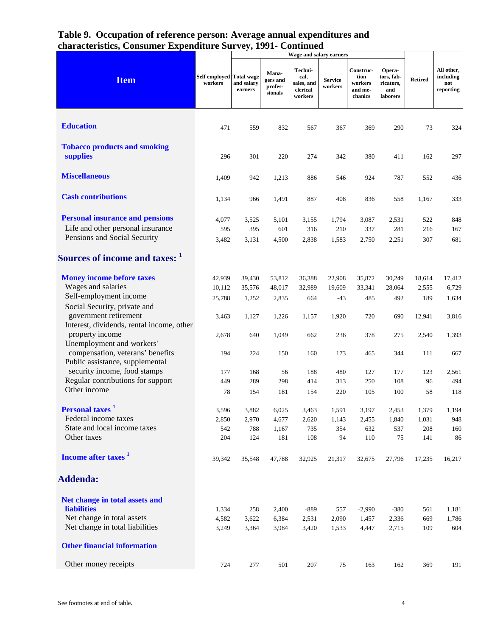|                                                                                                                                                                                                                                                                                                                                                                                                                                                                                                                                             |                                                                                                         |                                                                                                       |                                                                                                          | Wage and salary earners                                                                             |                                                                                                      |                                                                                                   |                                                                                                  |                                                                                                     |                                                                                                       |
|---------------------------------------------------------------------------------------------------------------------------------------------------------------------------------------------------------------------------------------------------------------------------------------------------------------------------------------------------------------------------------------------------------------------------------------------------------------------------------------------------------------------------------------------|---------------------------------------------------------------------------------------------------------|-------------------------------------------------------------------------------------------------------|----------------------------------------------------------------------------------------------------------|-----------------------------------------------------------------------------------------------------|------------------------------------------------------------------------------------------------------|---------------------------------------------------------------------------------------------------|--------------------------------------------------------------------------------------------------|-----------------------------------------------------------------------------------------------------|-------------------------------------------------------------------------------------------------------|
| <b>Item</b>                                                                                                                                                                                                                                                                                                                                                                                                                                                                                                                                 | Self employed Total wage<br>workers                                                                     | and salary<br>earners                                                                                 | Mana-<br>gers and<br>profes-<br>sionals                                                                  | Techni-<br>cal,<br>sales, and<br>clerical<br>workers                                                | <b>Service</b><br>workers                                                                            | Construc-<br>tion<br>workers<br>and me-<br>chanics                                                | Opera-<br>tors, fab-<br>ricators,<br>and<br>laborers                                             | <b>Retired</b>                                                                                      | All other,<br>including<br>not<br>reporting                                                           |
| <b>Education</b>                                                                                                                                                                                                                                                                                                                                                                                                                                                                                                                            | 471                                                                                                     | 559                                                                                                   | 832                                                                                                      | 567                                                                                                 | 367                                                                                                  | 369                                                                                               | 290                                                                                              | 73                                                                                                  | 324                                                                                                   |
| <b>Tobacco products and smoking</b><br>supplies                                                                                                                                                                                                                                                                                                                                                                                                                                                                                             | 296                                                                                                     | 301                                                                                                   | 220                                                                                                      | 274                                                                                                 | 342                                                                                                  | 380                                                                                               | 411                                                                                              | 162                                                                                                 | 297                                                                                                   |
| <b>Miscellaneous</b>                                                                                                                                                                                                                                                                                                                                                                                                                                                                                                                        | 1,409                                                                                                   | 942                                                                                                   | 1,213                                                                                                    | 886                                                                                                 | 546                                                                                                  | 924                                                                                               | 787                                                                                              | 552                                                                                                 | 436                                                                                                   |
| <b>Cash contributions</b>                                                                                                                                                                                                                                                                                                                                                                                                                                                                                                                   | 1,134                                                                                                   | 966                                                                                                   | 1,491                                                                                                    | 887                                                                                                 | 408                                                                                                  | 836                                                                                               | 558                                                                                              | 1,167                                                                                               | 333                                                                                                   |
| <b>Personal insurance and pensions</b><br>Life and other personal insurance<br>Pensions and Social Security                                                                                                                                                                                                                                                                                                                                                                                                                                 | 4,077<br>595<br>3,482                                                                                   | 3,525<br>395<br>3,131                                                                                 | 5,101<br>601                                                                                             | 3,155<br>316<br>2,838                                                                               | 1,794<br>210<br>1,583                                                                                | 3,087<br>337                                                                                      | 2,531<br>281<br>2,251                                                                            | 522<br>216<br>307                                                                                   | 848<br>167<br>681                                                                                     |
| Sources of income and taxes: 1                                                                                                                                                                                                                                                                                                                                                                                                                                                                                                              |                                                                                                         |                                                                                                       | 4,500                                                                                                    |                                                                                                     |                                                                                                      | 2,750                                                                                             |                                                                                                  |                                                                                                     |                                                                                                       |
| <b>Money income before taxes</b><br>Wages and salaries<br>Self-employment income<br>Social Security, private and<br>government retirement<br>Interest, dividends, rental income, other<br>property income<br>Unemployment and workers'<br>compensation, veterans' benefits<br>Public assistance, supplemental<br>security income, food stamps<br>Regular contributions for support<br>Other income<br>Personal taxes <sup>1</sup><br>Federal income taxes<br>State and local income taxes<br>Other taxes<br>Income after taxes <sup>1</sup> | 42,939<br>10,112<br>25,788<br>3,463<br>2,678<br>194<br>177<br>449<br>78<br>3,596<br>2,850<br>542<br>204 | 39,430<br>35,576<br>1,252<br>1,127<br>640<br>224<br>168<br>289<br>154<br>3,882<br>2,970<br>788<br>124 | 53,812<br>48,017<br>2,835<br>1,226<br>1,049<br>150<br>56<br>298<br>181<br>6,025<br>4,677<br>1,167<br>181 | 36,388<br>32,989<br>664<br>1,157<br>662<br>160<br>188<br>414<br>154<br>3,463<br>2,620<br>735<br>108 | 22,908<br>19,609<br>$-43$<br>1,920<br>236<br>173<br>480<br>313<br>220<br>1,591<br>1,143<br>354<br>94 | 35,872<br>33,341<br>485<br>720<br>378<br>465<br>127<br>250<br>105<br>3,197<br>2,455<br>632<br>110 | 30,249<br>28,064<br>492<br>690<br>275<br>344<br>177<br>108<br>100<br>2,453<br>1,840<br>537<br>75 | 18,614<br>2,555<br>189<br>12,941<br>2,540<br>111<br>123<br>96<br>58<br>1,379<br>1,031<br>208<br>141 | 17,412<br>6,729<br>1,634<br>3,816<br>1,393<br>667<br>2,561<br>494<br>118<br>1,194<br>948<br>160<br>86 |
| <b>Addenda:</b>                                                                                                                                                                                                                                                                                                                                                                                                                                                                                                                             | 39,342                                                                                                  | 35,548                                                                                                | 47,788                                                                                                   | 32,925                                                                                              | 21,317                                                                                               | 32,675                                                                                            | 27,796                                                                                           | 17,235                                                                                              | 16,217                                                                                                |
| Net change in total assets and<br><b>liabilities</b><br>Net change in total assets<br>Net change in total liabilities                                                                                                                                                                                                                                                                                                                                                                                                                       | 1,334<br>4,582<br>3,249                                                                                 | 258<br>3,622<br>3,364                                                                                 | 2,400<br>6,384<br>3,984                                                                                  | -889<br>2,531<br>3,420                                                                              | 557<br>2,090<br>1,533                                                                                | $-2,990$<br>1,457<br>4,447                                                                        | $-380$<br>2,336<br>2,715                                                                         | 561<br>669<br>109                                                                                   | 1,181<br>1,786<br>604                                                                                 |
| <b>Other financial information</b>                                                                                                                                                                                                                                                                                                                                                                                                                                                                                                          |                                                                                                         |                                                                                                       |                                                                                                          |                                                                                                     |                                                                                                      |                                                                                                   |                                                                                                  |                                                                                                     |                                                                                                       |
| Other money receipts                                                                                                                                                                                                                                                                                                                                                                                                                                                                                                                        | 724                                                                                                     | 277                                                                                                   | 501                                                                                                      | 207                                                                                                 | 75                                                                                                   | 163                                                                                               | 162                                                                                              | 369                                                                                                 | 191                                                                                                   |